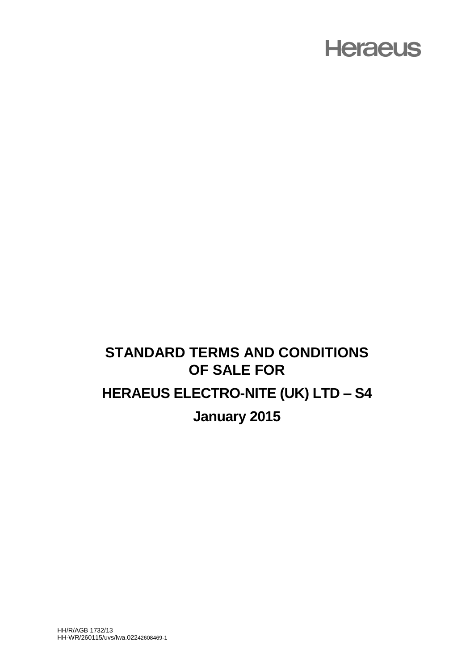#### **STANDARD TERMS AND CONDITIONS OF SALE FOR HERAEUS ELECTRO-NITE (UK) LTD – S4 January 2015**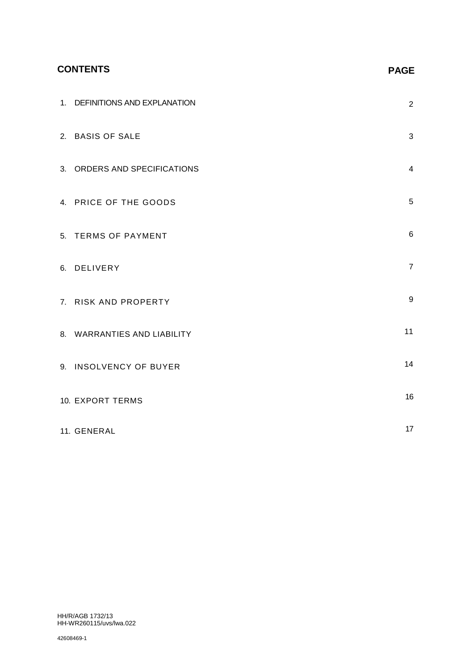#### **CONTENTS**

| 1. DEFINITIONS AND EXPLANATION | $\overline{2}$ |
|--------------------------------|----------------|
| 2. BASIS OF SALE               | 3              |
| 3. ORDERS AND SPECIFICATIONS   | 4              |
| 4. PRICE OF THE GOODS          | 5              |
| 5. TERMS OF PAYMENT            | 6              |
| 6. DELIVERY                    | $\overline{7}$ |
| 7. RISK AND PROPERTY           | 9              |
| 8. WARRANTIES AND LIABILITY    | 11             |
| 9. INSOLVENCY OF BUYER         | 14             |
| <b>10. EXPORT TERMS</b>        | 16             |
| 11. GENERAL                    | 17             |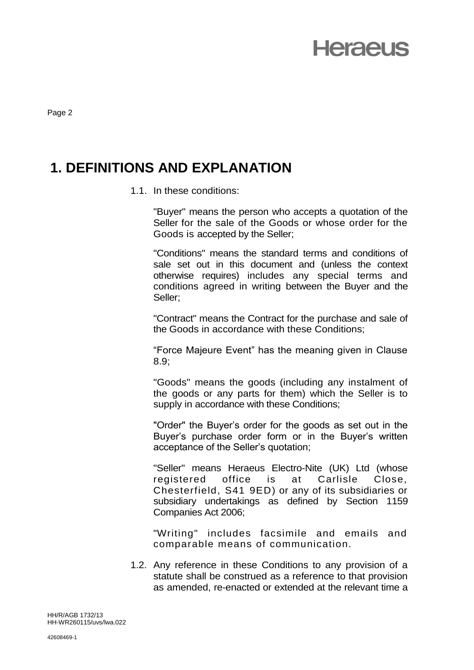Page 2

#### **1. DEFINITIONS AND EXPLANATION**

1.1. In these conditions:

"Buyer" means the person who accepts a quotation of the Seller for the sale of the Goods or whose order for the Goods is accepted by the Seller;

"Conditions" means the standard terms and conditions of sale set out in this document and (unless the context otherwise requires) includes any special terms and conditions agreed in writing between the Buyer and the Seller;

"Contract" means the Contract for the purchase and sale of the Goods in accordance with these Conditions;

"Force Majeure Event" has the meaning given in Clause 8.9;

"Goods" means the goods (including any instalment of the goods or any parts for them) which the Seller is to supply in accordance with these Conditions;

"Order" the Buyer's order for the goods as set out in the Buyer's purchase order form or in the Buyer's written acceptance of the Seller's quotation;

"Seller" means Heraeus Electro-Nite (UK) Ltd (whose registered office is at Carlisle Close, Chesterfield, S41 9ED) or any of its subsidiaries or subsidiary undertakings as defined by Section 1159 Companies Act 2006;

"Writing" includes facsimile and emails and comparable means of communication.

1.2. Any reference in these Conditions to any provision of a statute shall be construed as a reference to that provision as amended, re-enacted or extended at the relevant time a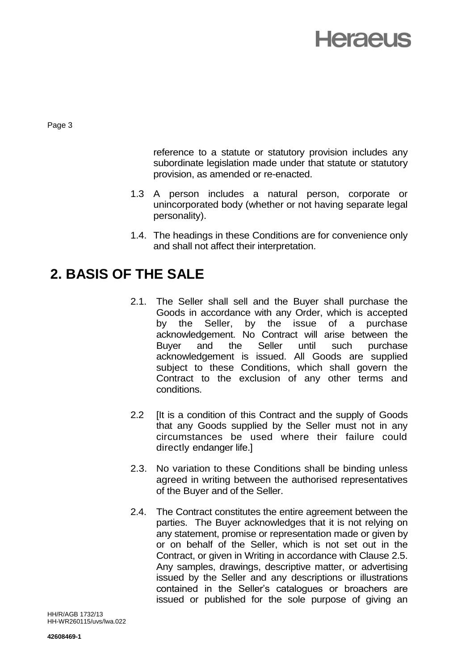

Page 3

reference to a statute or statutory provision includes any subordinate legislation made under that statute or statutory provision, as amended or re-enacted.

- 1.3 A person includes a natural person, corporate or unincorporated body (whether or not having separate legal personality).
- 1.4. The headings in these Conditions are for convenience only and shall not affect their interpretation.

#### **2. BASIS OF THE SALE**

- 2.1. The Seller shall sell and the Buyer shall purchase the Goods in accordance with any Order, which is accepted by the Seller, by the issue of a purchase acknowledgement. No Contract will arise between the Buyer and the Seller until such purchase acknowledgement is issued. All Goods are supplied subject to these Conditions, which shall govern the Contract to the exclusion of any other terms and conditions.
- 2.2 Ilt is a condition of this Contract and the supply of Goods that any Goods supplied by the Seller must not in any circumstances be used where their failure could directly endanger life.]
- 2.3. No variation to these Conditions shall be binding unless agreed in writing between the authorised representatives of the Buyer and of the Seller.
- 2.4. The Contract constitutes the entire agreement between the parties. The Buyer acknowledges that it is not relying on any statement, promise or representation made or given by or on behalf of the Seller, which is not set out in the Contract, or given in Writing in accordance with Clause 2.5. Any samples, drawings, descriptive matter, or advertising issued by the Seller and any descriptions or illustrations contained in the Seller's catalogues or broachers are issued or published for the sole purpose of giving an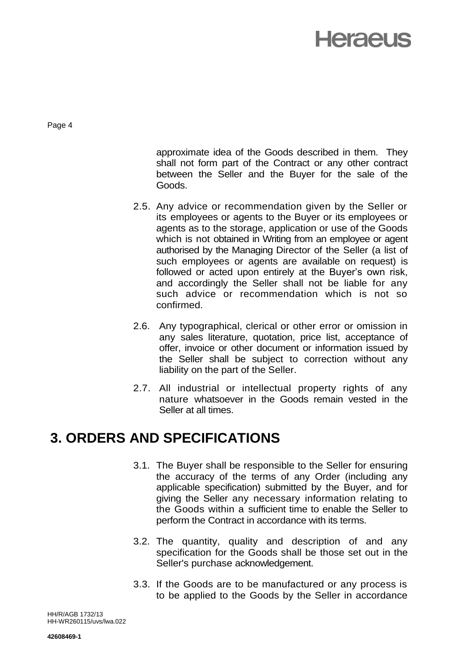Page 4

approximate idea of the Goods described in them. They shall not form part of the Contract or any other contract between the Seller and the Buyer for the sale of the Goods.

- 2.5. Any advice or recommendation given by the Seller or its employees or agents to the Buyer or its employees or agents as to the storage, application or use of the Goods which is not obtained in Writing from an employee or agent authorised by the Managing Director of the Seller (a list of such employees or agents are available on request) is followed or acted upon entirely at the Buyer's own risk, and accordingly the Seller shall not be liable for any such advice or recommendation which is not so confirmed.
- 2.6. Any typographical, clerical or other error or omission in any sales literature, quotation, price list, acceptance of offer, invoice or other document or information issued by the Seller shall be subject to correction without any liability on the part of the Seller.
- 2.7. All industrial or intellectual property rights of any nature whatsoever in the Goods remain vested in the Seller at all times.

#### **3. ORDERS AND SPECIFICATIONS**

- 3.1. The Buyer shall be responsible to the Seller for ensuring the accuracy of the terms of any Order (including any applicable specification) submitted by the Buyer, and for giving the Seller any necessary information relating to the Goods within a sufficient time to enable the Seller to perform the Contract in accordance with its terms.
- 3.2. The quantity, quality and description of and any specification for the Goods shall be those set out in the Seller's purchase acknowledgement.
- 3.3. If the Goods are to be manufactured or any process is to be applied to the Goods by the Seller in accordance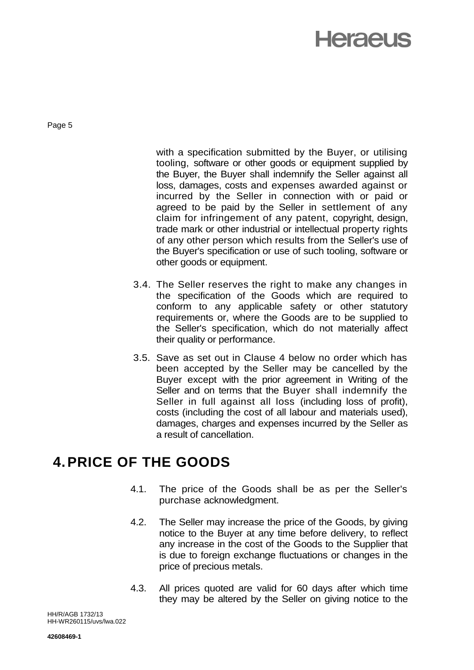Page 5

with a specification submitted by the Buyer, or utilising tooling, software or other goods or equipment supplied by the Buyer, the Buyer shall indemnify the Seller against all loss, damages, costs and expenses awarded against or incurred by the Seller in connection with or paid or agreed to be paid by the Seller in settlement of any claim for infringement of any patent, copyright, design, trade mark or other industrial or intellectual property rights of any other person which results from the Seller's use of the Buyer's specification or use of such tooling, software or other goods or equipment.

- 3.4. The Seller reserves the right to make any changes in the specification of the Goods which are required to conform to any applicable safety or other statutory requirements or, where the Goods are to be supplied to the Seller's specification, which do not materially affect their quality or performance.
- 3.5. Save as set out in Clause 4 below no order which has been accepted by the Seller may be cancelled by the Buyer except with the prior agreement in Writing of the Seller and on terms that the Buyer shall indemnify the Seller in full against all loss (including loss of profit), costs (including the cost of all labour and materials used), damages, charges and expenses incurred by the Seller as a result of cancellation.

#### **4.PRICE OF THE GOODS**

- 4.1. The price of the Goods shall be as per the Seller's purchase acknowledgment.
- 4.2. The Seller may increase the price of the Goods, by giving notice to the Buyer at any time before delivery, to reflect any increase in the cost of the Goods to the Supplier that is due to foreign exchange fluctuations or changes in the price of precious metals.
- 4.3. All prices quoted are valid for 60 days after which time they may be altered by the Seller on giving notice to the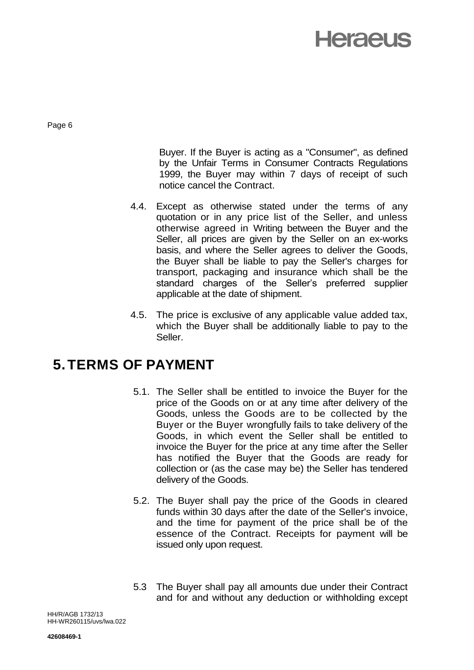Page 6

Buyer. If the Buyer is acting as a "Consumer", as defined by the Unfair Terms in Consumer Contracts Regulations 1999, the Buyer may within 7 days of receipt of such notice cancel the Contract.

- 4.4. Except as otherwise stated under the terms of any quotation or in any price list of the Seller, and unless otherwise agreed in Writing between the Buyer and the Seller, all prices are given by the Seller on an ex-works basis, and where the Seller agrees to deliver the Goods, the Buyer shall be liable to pay the Seller's charges for transport, packaging and insurance which shall be the standard charges of the Seller's preferred supplier applicable at the date of shipment.
- 4.5. The price is exclusive of any applicable value added tax, which the Buyer shall be additionally liable to pay to the Seller.

#### **5.TERMS OF PAYMENT**

- 5.1. The Seller shall be entitled to invoice the Buyer for the price of the Goods on or at any time after delivery of the Goods, unless the Goods are to be collected by the Buyer or the Buyer wrongfully fails to take delivery of the Goods, in which event the Seller shall be entitled to invoice the Buyer for the price at any time after the Seller has notified the Buyer that the Goods are ready for collection or (as the case may be) the Seller has tendered delivery of the Goods.
- 5.2. The Buyer shall pay the price of the Goods in cleared funds within 30 days after the date of the Seller's invoice, and the time for payment of the price shall be of the essence of the Contract. Receipts for payment will be issued only upon request.
- 5.3 The Buyer shall pay all amounts due under their Contract and for and without any deduction or withholding except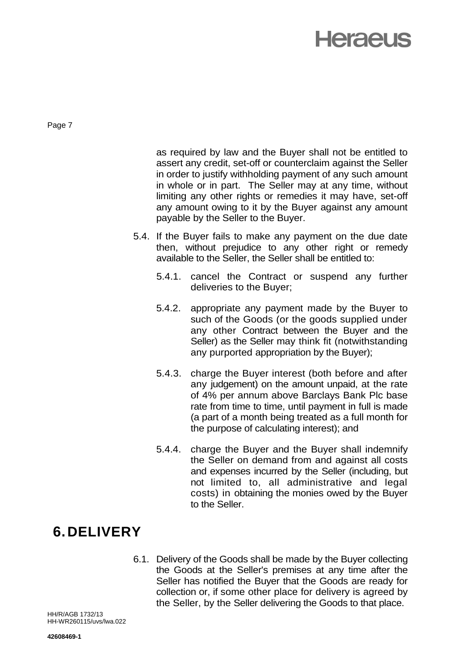Page 7

as required by law and the Buyer shall not be entitled to assert any credit, set-off or counterclaim against the Seller in order to justify withholding payment of any such amount in whole or in part. The Seller may at any time, without limiting any other rights or remedies it may have, set-off any amount owing to it by the Buyer against any amount payable by the Seller to the Buyer.

- 5.4. If the Buyer fails to make any payment on the due date then, without prejudice to any other right or remedy available to the Seller, the Seller shall be entitled to:
	- 5.4.1. cancel the Contract or suspend any further deliveries to the Buyer;
	- 5.4.2. appropriate any payment made by the Buyer to such of the Goods (or the goods supplied under any other Contract between the Buyer and the Seller) as the Seller may think fit (notwithstanding any purported appropriation by the Buyer);
	- 5.4.3. charge the Buyer interest (both before and after any judgement) on the amount unpaid, at the rate of 4% per annum above Barclays Bank Plc base rate from time to time, until payment in full is made (a part of a month being treated as a full month for the purpose of calculating interest); and
	- 5.4.4. charge the Buyer and the Buyer shall indemnify the Seller on demand from and against all costs and expenses incurred by the Seller (including, but not limited to, all administrative and legal costs) in obtaining the monies owed by the Buyer to the Seller.

#### **6.DELIVERY**

6.1. Delivery of the Goods shall be made by the Buyer collecting the Goods at the Seller's premises at any time after the Seller has notified the Buyer that the Goods are ready for collection or, if some other place for delivery is agreed by the Seller, by the Seller delivering the Goods to that place.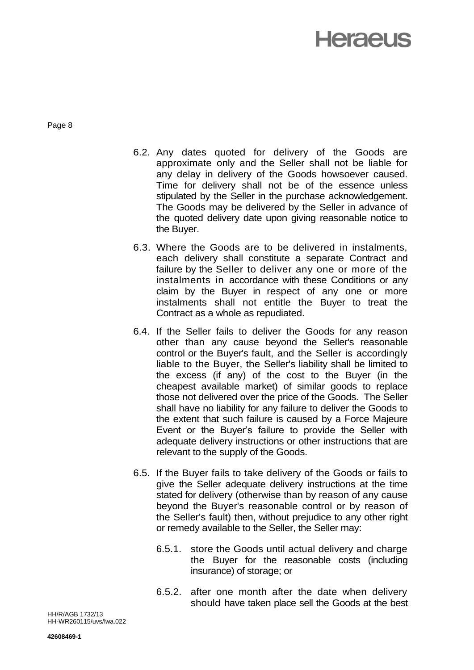Page 8

- 6.2. Any dates quoted for delivery of the Goods are approximate only and the Seller shall not be liable for any delay in delivery of the Goods howsoever caused. Time for delivery shall not be of the essence unless stipulated by the Seller in the purchase acknowledgement. The Goods may be delivered by the Seller in advance of the quoted delivery date upon giving reasonable notice to the Buyer.
- 6.3. Where the Goods are to be delivered in instalments, each delivery shall constitute a separate Contract and failure by the Seller to deliver any one or more of the instalments in accordance with these Conditions or any claim by the Buyer in respect of any one or more instalments shall not entitle the Buyer to treat the Contract as a whole as repudiated.
- 6.4. If the Seller fails to deliver the Goods for any reason other than any cause beyond the Seller's reasonable control or the Buyer's fault, and the Seller is accordingly liable to the Buyer, the Seller's liability shall be limited to the excess (if any) of the cost to the Buyer (in the cheapest available market) of similar goods to replace those not delivered over the price of the Goods. The Seller shall have no liability for any failure to deliver the Goods to the extent that such failure is caused by a Force Majeure Event or the Buyer's failure to provide the Seller with adequate delivery instructions or other instructions that are relevant to the supply of the Goods.
- 6.5. If the Buyer fails to take delivery of the Goods or fails to give the Seller adequate delivery instructions at the time stated for delivery (otherwise than by reason of any cause beyond the Buyer's reasonable control or by reason of the Seller's fault) then, without prejudice to any other right or remedy available to the Seller, the Seller may:
	- 6.5.1. store the Goods until actual delivery and charge the Buyer for the reasonable costs (including insurance) of storage; or
	- 6.5.2. after one month after the date when delivery should have taken place sell the Goods at the best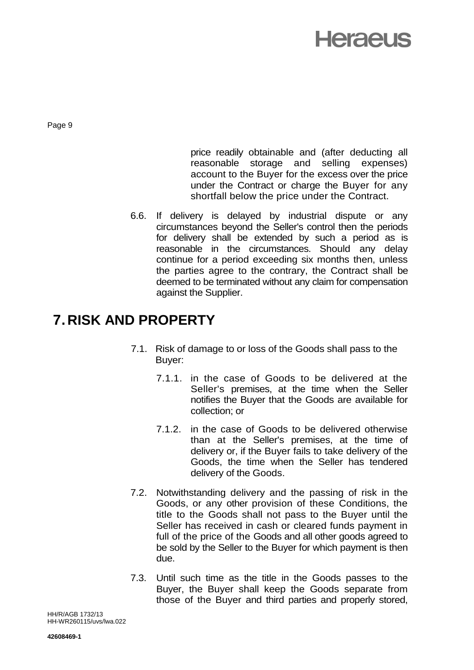Page 9

price readily obtainable and (after deducting all reasonable storage and selling expenses) account to the Buyer for the excess over the price under the Contract or charge the Buyer for any shortfall below the price under the Contract.

6.6. If delivery is delayed by industrial dispute or any circumstances beyond the Seller's control then the periods for delivery shall be extended by such a period as is reasonable in the circumstances. Should any delay continue for a period exceeding six months then, unless the parties agree to the contrary, the Contract shall be deemed to be terminated without any claim for compensation against the Supplier.

#### **7.RISK AND PROPERTY**

- 7.1. Risk of damage to or loss of the Goods shall pass to the Buyer:
	- 7.1.1. in the case of Goods to be delivered at the Seller's premises, at the time when the Seller notifies the Buyer that the Goods are available for collection; or
	- 7.1.2. in the case of Goods to be delivered otherwise than at the Seller's premises, at the time of delivery or, if the Buyer fails to take delivery of the Goods, the time when the Seller has tendered delivery of the Goods.
- 7.2. Notwithstanding delivery and the passing of risk in the Goods, or any other provision of these Conditions, the title to the Goods shall not pass to the Buyer until the Seller has received in cash or cleared funds payment in full of the price of the Goods and all other goods agreed to be sold by the Seller to the Buyer for which payment is then due.
- 7.3. Until such time as the title in the Goods passes to the Buyer, the Buyer shall keep the Goods separate from those of the Buyer and third parties and properly stored,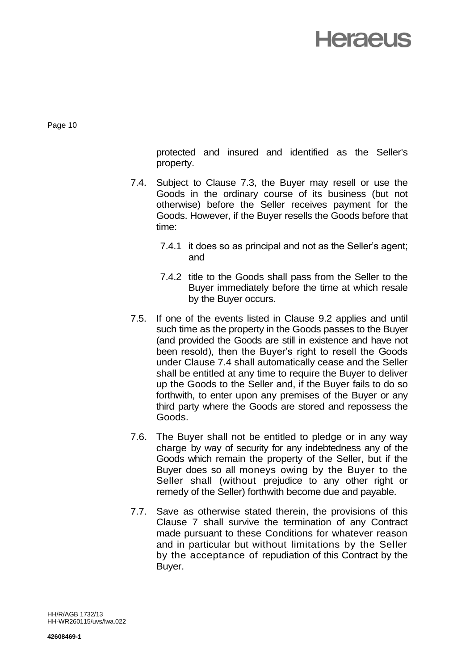Page 10

protected and insured and identified as the Seller's property.

- 7.4. Subject to Clause 7.3, the Buyer may resell or use the Goods in the ordinary course of its business (but not otherwise) before the Seller receives payment for the Goods. However, if the Buyer resells the Goods before that time:
	- 7.4.1 it does so as principal and not as the Seller's agent; and
	- 7.4.2 title to the Goods shall pass from the Seller to the Buyer immediately before the time at which resale by the Buyer occurs.
- 7.5. If one of the events listed in Clause 9.2 applies and until such time as the property in the Goods passes to the Buyer (and provided the Goods are still in existence and have not been resold), then the Buyer's right to resell the Goods under Clause 7.4 shall automatically cease and the Seller shall be entitled at any time to require the Buyer to deliver up the Goods to the Seller and, if the Buyer fails to do so forthwith, to enter upon any premises of the Buyer or any third party where the Goods are stored and repossess the Goods.
- 7.6. The Buyer shall not be entitled to pledge or in any way charge by way of security for any indebtedness any of the Goods which remain the property of the Seller, but if the Buyer does so all moneys owing by the Buyer to the Seller shall (without prejudice to any other right or remedy of the Seller) forthwith become due and payable.
- 7.7. Save as otherwise stated therein, the provisions of this Clause 7 shall survive the termination of any Contract made pursuant to these Conditions for whatever reason and in particular but without limitations by the Seller by the acceptance of repudiation of this Contract by the Buyer.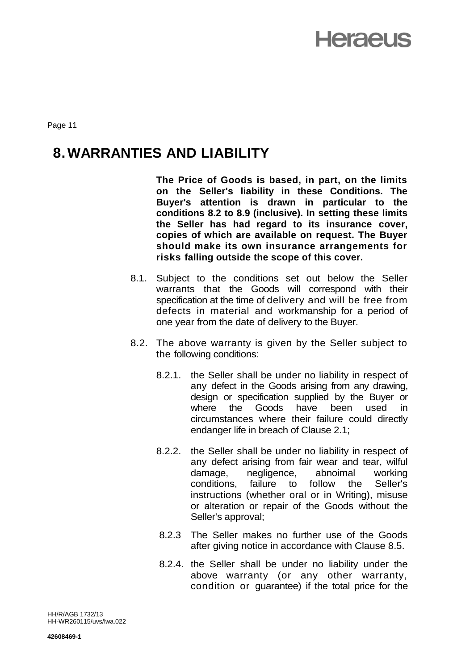Page 11

#### **8.WARRANTIES AND LIABILITY**

**The Price of Goods is based, in part, on the limits on the Seller's liability in these Conditions. The Buyer's attention is drawn in particular to the conditions 8.2 to 8.9 (inclusive). In setting these limits the Seller has had regard to its insurance cover, copies of which are available on request. The Buyer should make its own insurance arrangements for risks falling outside the scope of this cover.**

- 8.1. Subject to the conditions set out below the Seller warrants that the Goods will correspond with their specification at the time of delivery and will be free from defects in material and workmanship for a period of one year from the date of delivery to the Buyer.
- 8.2. The above warranty is given by the Seller subject to the following conditions:
	- 8.2.1. the Seller shall be under no liability in respect of any defect in the Goods arising from any drawing, design or specification supplied by the Buyer or where the Goods have been used in circumstances where their failure could directly endanger life in breach of Clause 2.1;
	- 8.2.2. the Seller shall be under no liability in respect of any defect arising from fair wear and tear, wilful damage, negligence, abnoimal working conditions, failure to follow the Seller's instructions (whether oral or in Writing), misuse or alteration or repair of the Goods without the Seller's approval;
	- 8.2.3 The Seller makes no further use of the Goods after giving notice in accordance with Clause 8.5.
	- 8.2.4. the Seller shall be under no liability under the above warranty (or any other warranty, condition or guarantee) if the total price for the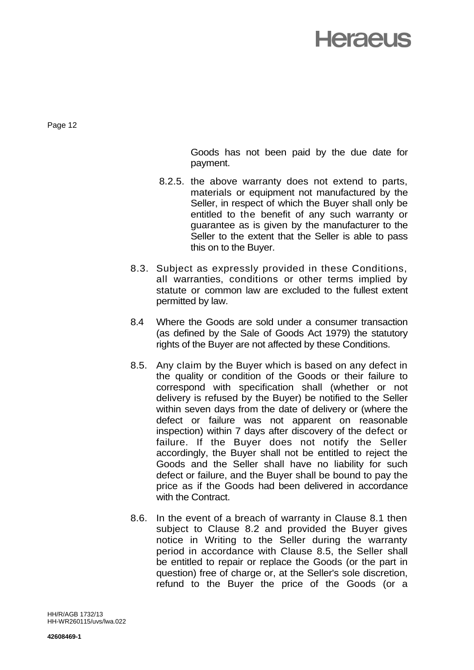Page 12

Goods has not been paid by the due date for payment.

- 8.2.5. the above warranty does not extend to parts, materials or equipment not manufactured by the Seller, in respect of which the Buyer shall only be entitled to the benefit of any such warranty or guarantee as is given by the manufacturer to the Seller to the extent that the Seller is able to pass this on to the Buyer.
- 8.3. Subject as expressly provided in these Conditions, all warranties, conditions or other terms implied by statute or common law are excluded to the fullest extent permitted by law.
- 8.4 Where the Goods are sold under a consumer transaction (as defined by the Sale of Goods Act 1979) the statutory rights of the Buyer are not affected by these Conditions.
- 8.5. Any claim by the Buyer which is based on any defect in the quality or condition of the Goods or their failure to correspond with specification shall (whether or not delivery is refused by the Buyer) be notified to the Seller within seven days from the date of delivery or (where the defect or failure was not apparent on reasonable inspection) within 7 days after discovery of the defect or failure. If the Buyer does not notify the Seller accordingly, the Buyer shall not be entitled to reject the Goods and the Seller shall have no liability for such defect or failure, and the Buyer shall be bound to pay the price as if the Goods had been delivered in accordance with the Contract.
- 8.6. In the event of a breach of warranty in Clause 8.1 then subject to Clause 8.2 and provided the Buyer gives notice in Writing to the Seller during the warranty period in accordance with Clause 8.5, the Seller shall be entitled to repair or replace the Goods (or the part in question) free of charge or, at the Seller's sole discretion, refund to the Buyer the price of the Goods (or a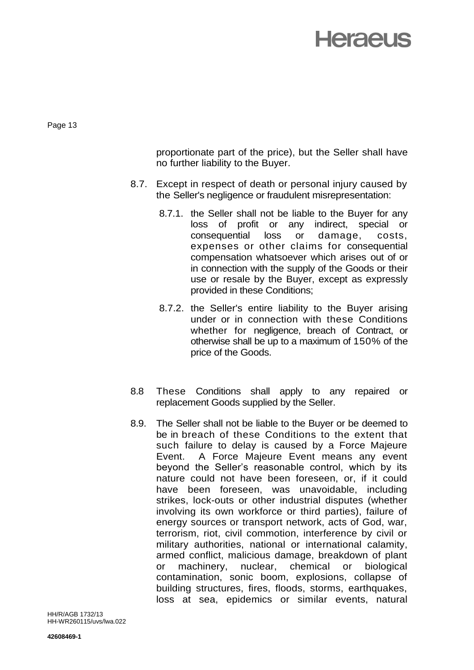Page 13

proportionate part of the price), but the Seller shall have no further liability to the Buyer.

- 8.7. Except in respect of death or personal injury caused by the Seller's negligence or fraudulent misrepresentation:
	- 8.7.1. the Seller shall not be liable to the Buyer for any loss of profit or any indirect, special or consequential loss or damage, costs, expenses or other claims for consequential compensation whatsoever which arises out of or in connection with the supply of the Goods or their use or resale by the Buyer, except as expressly provided in these Conditions;
	- 8.7.2. the Seller's entire liability to the Buyer arising under or in connection with these Conditions whether for negligence, breach of Contract, or otherwise shall be up to a maximum of 150% of the price of the Goods.
- 8.8 These Conditions shall apply to any repaired or replacement Goods supplied by the Seller.
- 8.9. The Seller shall not be liable to the Buyer or be deemed to be in breach of these Conditions to the extent that such failure to delay is caused by a Force Majeure Event. A Force Majeure Event means any event beyond the Seller's reasonable control, which by its nature could not have been foreseen, or, if it could have been foreseen, was unavoidable, including strikes, lock-outs or other industrial disputes (whether involving its own workforce or third parties), failure of energy sources or transport network, acts of God, war, terrorism, riot, civil commotion, interference by civil or military authorities, national or international calamity, armed conflict, malicious damage, breakdown of plant or machinery, nuclear, chemical or biological contamination, sonic boom, explosions, collapse of building structures, fires, floods, storms, earthquakes, loss at sea, epidemics or similar events, natural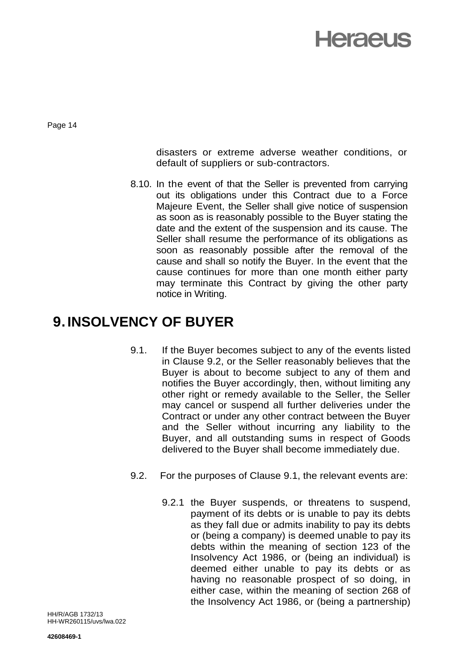Page 14

disasters or extreme adverse weather conditions, or default of suppliers or sub-contractors.

8.10. In the event of that the Seller is prevented from carrying out its obligations under this Contract due to a Force Majeure Event, the Seller shall give notice of suspension as soon as is reasonably possible to the Buyer stating the date and the extent of the suspension and its cause. The Seller shall resume the performance of its obligations as soon as reasonably possible after the removal of the cause and shall so notify the Buyer. In the event that the cause continues for more than one month either party may terminate this Contract by giving the other party notice in Writing.

#### **9.INSOLVENCY OF BUYER**

- 9.1. If the Buyer becomes subject to any of the events listed in Clause 9.2, or the Seller reasonably believes that the Buyer is about to become subject to any of them and notifies the Buyer accordingly, then, without limiting any other right or remedy available to the Seller, the Seller may cancel or suspend all further deliveries under the Contract or under any other contract between the Buyer and the Seller without incurring any liability to the Buyer, and all outstanding sums in respect of Goods delivered to the Buyer shall become immediately due.
- 9.2. For the purposes of Clause 9.1, the relevant events are:
	- 9.2.1 the Buyer suspends, or threatens to suspend, payment of its debts or is unable to pay its debts as they fall due or admits inability to pay its debts or (being a company) is deemed unable to pay its debts within the meaning of section 123 of the Insolvency Act 1986, or (being an individual) is deemed either unable to pay its debts or as having no reasonable prospect of so doing, in either case, within the meaning of section 268 of the Insolvency Act 1986, or (being a partnership)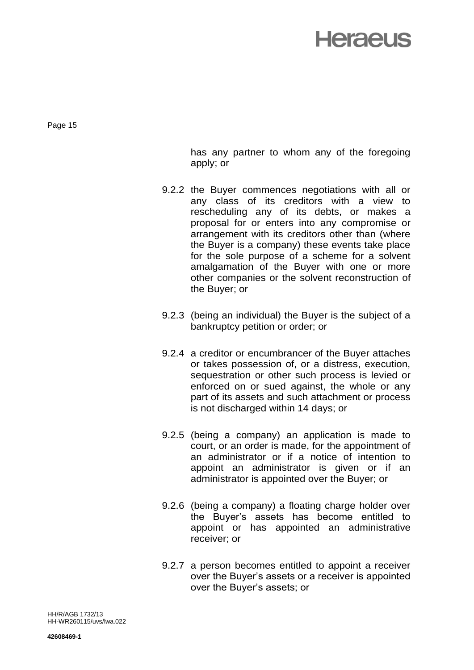Page 15

has any partner to whom any of the foregoing apply; or

- 9.2.2 the Buyer commences negotiations with all or any class of its creditors with a view to rescheduling any of its debts, or makes a proposal for or enters into any compromise or arrangement with its creditors other than (where the Buyer is a company) these events take place for the sole purpose of a scheme for a solvent amalgamation of the Buyer with one or more other companies or the solvent reconstruction of the Buyer; or
- 9.2.3 (being an individual) the Buyer is the subject of a bankruptcy petition or order; or
- 9.2.4 a creditor or encumbrancer of the Buyer attaches or takes possession of, or a distress, execution, sequestration or other such process is levied or enforced on or sued against, the whole or any part of its assets and such attachment or process is not discharged within 14 days; or
- 9.2.5 (being a company) an application is made to court, or an order is made, for the appointment of an administrator or if a notice of intention to appoint an administrator is given or if an administrator is appointed over the Buyer; or
- 9.2.6 (being a company) a floating charge holder over the Buyer's assets has become entitled to appoint or has appointed an administrative receiver; or
- 9.2.7 a person becomes entitled to appoint a receiver over the Buyer's assets or a receiver is appointed over the Buyer's assets; or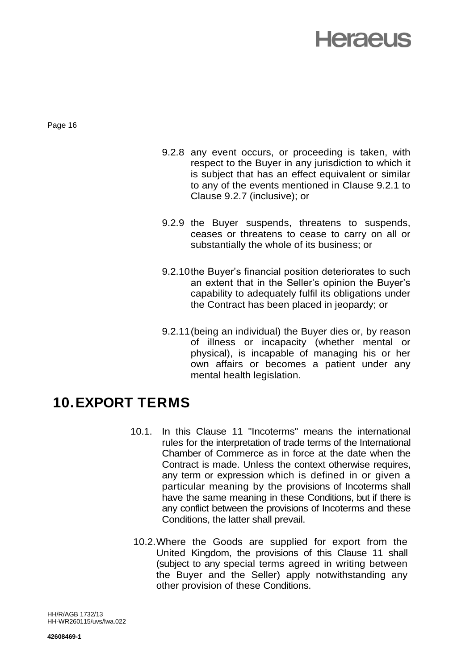Page 16

- 9.2.8 any event occurs, or proceeding is taken, with respect to the Buyer in any jurisdiction to which it is subject that has an effect equivalent or similar to any of the events mentioned in Clause 9.2.1 to Clause 9.2.7 (inclusive); or
- 9.2.9 the Buyer suspends, threatens to suspends, ceases or threatens to cease to carry on all or substantially the whole of its business; or
- 9.2.10the Buyer's financial position deteriorates to such an extent that in the Seller's opinion the Buyer's capability to adequately fulfil its obligations under the Contract has been placed in jeopardy; or
- 9.2.11(being an individual) the Buyer dies or, by reason of illness or incapacity (whether mental or physical), is incapable of managing his or her own affairs or becomes a patient under any mental health legislation.

#### **10.EXPORT TERMS**

- 10.1. In this Clause 11 "Incoterms" means the international rules for the interpretation of trade terms of the International Chamber of Commerce as in force at the date when the Contract is made. Unless the context otherwise requires, any term or expression which is defined in or given a particular meaning by the provisions of Incoterms shall have the same meaning in these Conditions, but if there is any conflict between the provisions of Incoterms and these Conditions, the latter shall prevail.
- 10.2.Where the Goods are supplied for export from the United Kingdom, the provisions of this Clause 11 shall (subject to any special terms agreed in writing between the Buyer and the Seller) apply notwithstanding any other provision of these Conditions.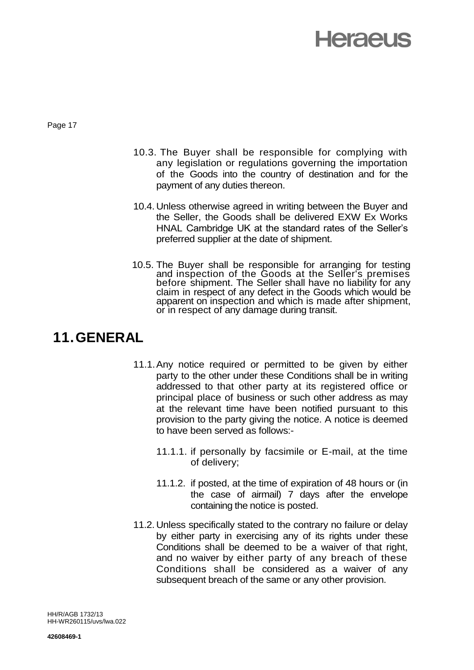Page 17

- 10.3. The Buyer shall be responsible for complying with any legislation or regulations governing the importation of the Goods into the country of destination and for the payment of any duties thereon.
- 10.4. Unless otherwise agreed in writing between the Buyer and the Seller, the Goods shall be delivered EXW Ex Works HNAL Cambridge UK at the standard rates of the Seller's preferred supplier at the date of shipment.
- 10.5. The Buyer shall be responsible for arranging for testing and inspection of the Goods at the Seller's premises before shipment. The Seller shall have no liability for any claim in respect of any defect in the Goods which would be apparent on inspection and which is made after shipment, or in respect of any damage during transit.

#### **11.GENERAL**

- 11.1.Any notice required or permitted to be given by either party to the other under these Conditions shall be in writing addressed to that other party at its registered office or principal place of business or such other address as may at the relevant time have been notified pursuant to this provision to the party giving the notice. A notice is deemed to have been served as follows:-
	- 11.1.1. if personally by facsimile or E-mail, at the time of delivery;
	- 11.1.2. if posted, at the time of expiration of 48 hours or (in the case of airmail) 7 days after the envelope containing the notice is posted.
- 11.2. Unless specifically stated to the contrary no failure or delay by either party in exercising any of its rights under these Conditions shall be deemed to be a waiver of that right, and no waiver by either party of any breach of these Conditions shall be considered as a waiver of any subsequent breach of the same or any other provision.